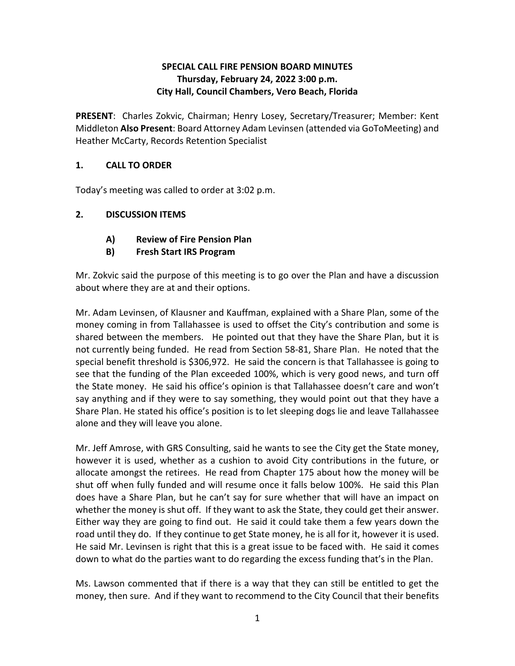## **SPECIAL CALL FIRE PENSION BOARD MINUTES Thursday, February 24, 2022 3:00 p.m. City Hall, Council Chambers, Vero Beach, Florida**

 **PRESENT**: Charles Zokvic, Chairman; Henry Losey, Secretary/Treasurer; Member: Kent Middleton **Also Present**: Board Attorney Adam Levinsen (attended via GoToMeeting) and Heather McCarty, Records Retention Specialist

## **1. CALL TO ORDER**

Today's meeting was called to order at 3:02 p.m.

# **2. DISCUSSION ITEMS**

- **A) Review of Fire Pension Plan**
- **B) Fresh Start IRS Program**

 Mr. Zokvic said the purpose of this meeting is to go over the Plan and have a discussion about where they are at and their options.

 money coming in from Tallahassee is used to offset the City's contribution and some is shared between the members. He pointed out that they have the Share Plan, but it is alone and they will leave you alone. Mr. Adam Levinsen, of Klausner and Kauffman, explained with a Share Plan, some of the not currently being funded. He read from Section 58-81, Share Plan. He noted that the special benefit threshold is \$306,972. He said the concern is that Tallahassee is going to see that the funding of the Plan exceeded 100%, which is very good news, and turn off the State money. He said his office's opinion is that Tallahassee doesn't care and won't say anything and if they were to say something, they would point out that they have a Share Plan. He stated his office's position is to let sleeping dogs lie and leave Tallahassee

alone and they will leave you alone.<br>Mr. Jeff Amrose, with GRS Consulting, said he wants to see the City get the State money, allocate amongst the retirees. He read from Chapter 175 about how the money will be shut off when fully funded and will resume once it falls below 100%. He said this Plan whether the money is shut off. If they want to ask the State, they could get their answer. Either way they are going to find out. He said it could take them a few years down the road until they do. If they continue to get State money, he is all for it, however it is used. road until they do. If they continue to get State money, he is all for it, however it is used.<br>He said Mr. Levinsen is right that this is a great issue to be faced with. He said it comes however it is used, whether as a cushion to avoid City contributions in the future, or does have a Share Plan, but he can't say for sure whether that will have an impact on

down to what do the parties want to do regarding the excess funding that's in the Plan.<br>Ms. Lawson commented that if there is a way that they can still be entitled to get the Ms. Lawson commented that if there is a way that they can still be entitled to get the money, then sure. And if they want to recommend to the City Council that their benefits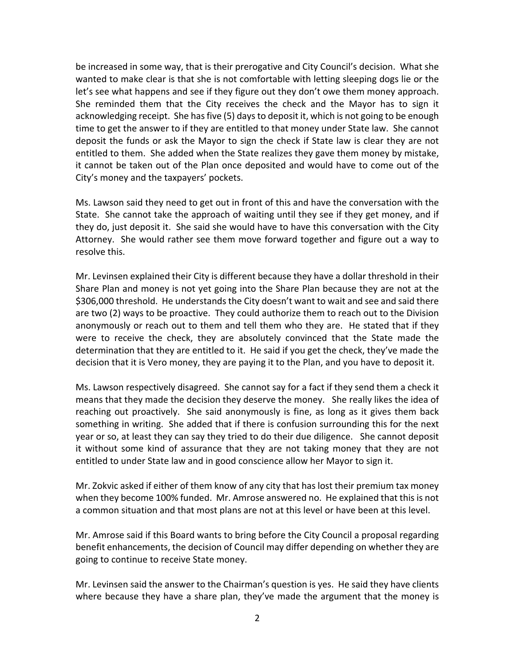wanted to make clear is that she is not comfortable with letting sleeping dogs lie or the let's see what happens and see if they figure out they don't owe them money approach.<br>She reminded them that the City receives the check and the Mayor has to sign it acknowledging receipt. She has five (5) days to deposit it, which is not going to be enough time to get the answer to if they are entitled to that money under State law. She cannot deposit the funds or ask the Mayor to sign the check if State law is clear they are not City's money and the taxpayers' pockets. be increased in some way, that is their prerogative and City Council's decision. What she entitled to them. She added when the State realizes they gave them money by mistake, it cannot be taken out of the Plan once deposited and would have to come out of the

 State. She cannot take the approach of waiting until they see if they get money, and if they do, just deposit it. She said she would have to have this conversation with the City resolve this. Ms. Lawson said they need to get out in front of this and have the conversation with the Attorney. She would rather see them move forward together and figure out a way to

 determination that they are entitled to it. He said if you get the check, they've made the decision that it is Vero money, they are paying it to the Plan, and you have to deposit it. Mr. Levinsen explained their City is different because they have a dollar threshold in their Share Plan and money is not yet going into the Share Plan because they are not at the \$306,000 threshold. He understands the City doesn't want to wait and see and said there are two (2) ways to be proactive. They could authorize them to reach out to the Division anonymously or reach out to them and tell them who they are. He stated that if they were to receive the check, they are absolutely convinced that the State made the

decision that it is Vero money, they are paying it to the Plan, and you have to deposit it.<br>Ms. Lawson respectively disagreed. She cannot say for a fact if they send them a check it reaching out proactively. She said anonymously is fine, as long as it gives them back something in writing. She added that if there is confusion surrounding this for the next it without some kind of assurance that they are not taking money that they are not entitled to under State law and in good conscience allow her Mayor to sign it. means that they made the decision they deserve the money. She really likes the idea of year or so, at least they can say they tried to do their due diligence. She cannot deposit

entitled to under State law and in good conscience allow her Mayor to sign it.<br>Mr. Zokvic asked if either of them know of any city that has lost their premium tax money when they become 100% funded. Mr. Amrose answered no. He explained that this is not a common situation and that most plans are not at this level or have been at this level.

 benefit enhancements, the decision of Council may differ depending on whether they are going to continue to receive State money. Mr. Amrose said if this Board wants to bring before the City Council a proposal regarding

going to continue to receive State money.<br>Mr. Levinsen said the answer to the Chairman's question is yes. He said they have clients where because they have a share plan, they've made the argument that the money is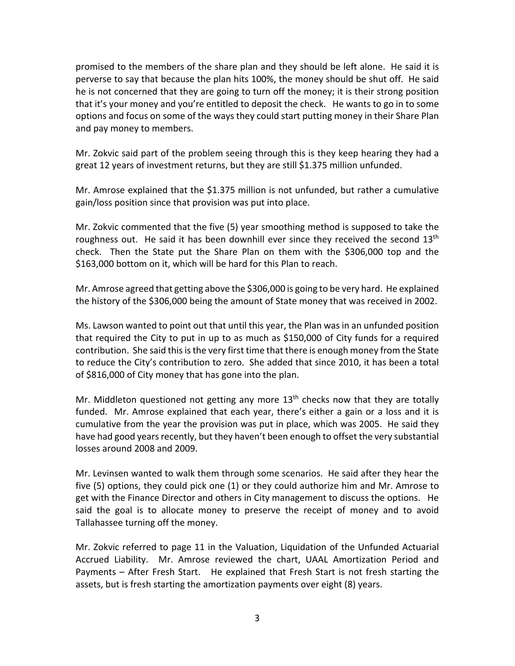perverse to say that because the plan hits 100%, the money should be shut off. He said options and focus on some of the ways they could start putting money in their Share Plan promised to the members of the share plan and they should be left alone. He said it is he is not concerned that they are going to turn off the money; it is their strong position that it's your money and you're entitled to deposit the check. He wants to go in to some and pay money to members.

great 12 years of investment returns, but they are still \$1.375 million unfunded. Mr. Zokvic said part of the problem seeing through this is they keep hearing they had a

Mr. Amrose explained that the \$1.375 million is not unfunded, but rather a cumulative gain/loss position since that provision was put into place.

 Mr. Zokvic commented that the five (5) year smoothing method is supposed to take the check. Then the State put the Share Plan on them with the \$306,000 top and the roughness out. He said it has been downhill ever since they received the second  $13<sup>th</sup>$ \$163,000 bottom on it, which will be hard for this Plan to reach.

Mr. Amrose agreed that getting above the \$306,000 is going to be very hard. He explained

the history of the \$306,000 being the amount of State money that was received in 2002.<br>Ms. Lawson wanted to point out that until this year, the Plan was in an unfunded position contribution. She said this is the very first time that there is enough money from the State of \$816,000 of City money that has gone into the plan. that required the City to put in up to as much as \$150,000 of City funds for a required to reduce the City's contribution to zero. She added that since 2010, it has been a total

 funded. Mr. Amrose explained that each year, there's either a gain or a loss and it is cumulative from the year the provision was put in place, which was 2005. He said they have had good years recently, but they haven't been enough to offset the very substantial Mr. Middleton questioned not getting any more  $13<sup>th</sup>$  checks now that they are totally losses around 2008 and 2009.

 five (5) options, they could pick one (1) or they could authorize him and Mr. Amrose to said the goal is to allocate money to preserve the receipt of money and to avoid Mr. Levinsen wanted to walk them through some scenarios. He said after they hear the get with the Finance Director and others in City management to discuss the options. He Tallahassee turning off the money.

 Payments – After Fresh Start. He explained that Fresh Start is not fresh starting the assets, but is fresh starting the amortization payments over eight (8) years. Mr. Zokvic referred to page 11 in the Valuation, Liquidation of the Unfunded Actuarial Accrued Liability. Mr. Amrose reviewed the chart, UAAL Amortization Period and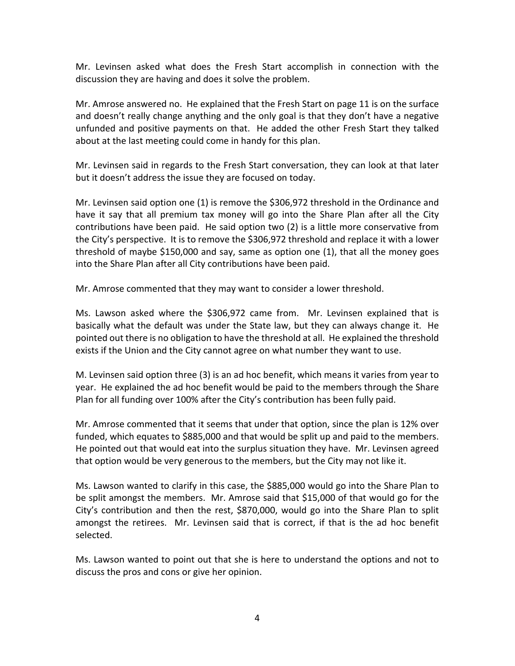discussion they are having and does it solve the problem. Mr. Levinsen asked what does the Fresh Start accomplish in connection with the

about at the last meeting could come in handy for this plan. Mr. Amrose answered no. He explained that the Fresh Start on page 11 is on the surface and doesn't really change anything and the only goal is that they don't have a negative unfunded and positive payments on that. He added the other Fresh Start they talked

about at the last meeting could come in handy for this plan.<br>Mr. Levinsen said in regards to the Fresh Start conversation, they can look at that later but it doesn't address the issue they are focused on today.

but it doesn't address the issue they are focused on today.<br>Mr. Levinsen said option one (1) is remove the \$306,972 threshold in the Ordinance and have it say that all premium tax money will go into the Share Plan after all the City contributions have been paid. He said option two (2) is a little more conservative from threshold of maybe \$150,000 and say, same as option one (1), that all the money goes into the Share Plan after all City contributions have been paid. the City's perspective. It is to remove the \$306,972 threshold and replace it with a lower

Mr. Amrose commented that they may want to consider a lower threshold.

Mr. Amrose commented that they may want to consider a lower threshold.<br>Ms. Lawson asked where the \$306,972 came from. Mr. Levinsen explained that is basically what the default was under the State law, but they can always change it. He pointed out there is no obligation to have the threshold at all. He explained the threshold exists if the Union and the City cannot agree on what number they want to use.

 M. Levinsen said option three (3) is an ad hoc benefit, which means it varies from year to year. He explained the ad hoc benefit would be paid to the members through the Share Plan for all funding over 100% after the City's contribution has been fully paid.

 funded, which equates to \$885,000 and that would be split up and paid to the members. He pointed out that would eat into the surplus situation they have. Mr. Levinsen agreed that option would be very generous to the members, but the City may not like it. Mr. Amrose commented that it seems that under that option, since the plan is 12% over

 Ms. Lawson wanted to clarify in this case, the \$885,000 would go into the Share Plan to selected. be split amongst the members. Mr. Amrose said that \$15,000 of that would go for the City's contribution and then the rest, \$870,000, would go into the Share Plan to split amongst the retirees. Mr. Levinsen said that is correct, if that is the ad hoc benefit

Ms. Lawson wanted to point out that she is here to understand the options and not to discuss the pros and cons or give her opinion.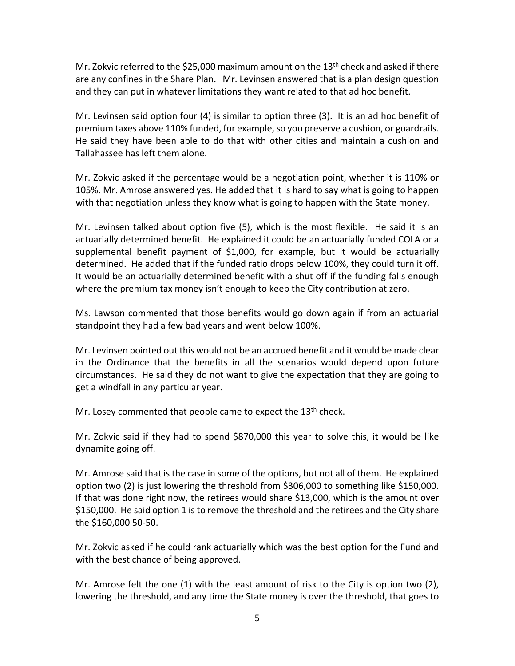and they can put in whatever limitations they want related to that ad hoc benefit. Mr. Zokvic referred to the \$25,000 maximum amount on the  $13<sup>th</sup>$  check and asked if there are any confines in the Share Plan. Mr. Levinsen answered that is a plan design question

premium taxes above 110% funded, for example, so you preserve a cushion, or guardrails.<br>He said they have been able to do that with other cities and maintain a cushion and Tallahassee has left them alone. Mr. Levinsen said option four (4) is similar to option three (3). It is an ad hoc benefit of

Tallahassee has left them alone.<br>Mr. Zokvic asked if the percentage would be a negotiation point, whether it is 110% or with that negotiation unless they know what is going to happen with the State money. 105%. Mr. Amrose answered yes. He added that it is hard to say what is going to happen

with that negotiation unless they know what is going to happen with the State money.<br>Mr. Levinsen talked about option five (5), which is the most flexible. He said it is an actuarially determined benefit. He explained it could be an actuarially funded COLA or a determined. He added that if the funded ratio drops below 100%, they could turn it off. where the premium tax money isn't enough to keep the City contribution at zero. supplemental benefit payment of \$1,000, for example, but it would be actuarially It would be an actuarially determined benefit with a shut off if the funding falls enough

 Ms. Lawson commented that those benefits would go down again if from an actuarial standpoint they had a few bad years and went below 100%.

 circumstances. He said they do not want to give the expectation that they are going to get a windfall in any particular year. Mr. Levinsen pointed out this would not be an accrued benefit and it would be made clear in the Ordinance that the benefits in all the scenarios would depend upon future

get a windfall in any particular year.<br>Mr. Losey commented that people came to expect the 13<sup>th</sup> check.

 Mr. Zokvic said if they had to spend \$870,000 this year to solve this, it would be like dynamite going off.

 option two (2) is just lowering the threshold from \$306,000 to something like \$150,000. Mr. Amrose said that is the case in some of the options, but not all of them. He explained If that was done right now, the retirees would share \$13,000, which is the amount over \$150,000. He said option 1 is to remove the threshold and the retirees and the City share the \$160,000 50-50.

 Mr. Zokvic asked if he could rank actuarially which was the best option for the Fund and with the best chance of being approved.

 Mr. Amrose felt the one (1) with the least amount of risk to the City is option two (2), lowering the threshold, and any time the State money is over the threshold, that goes to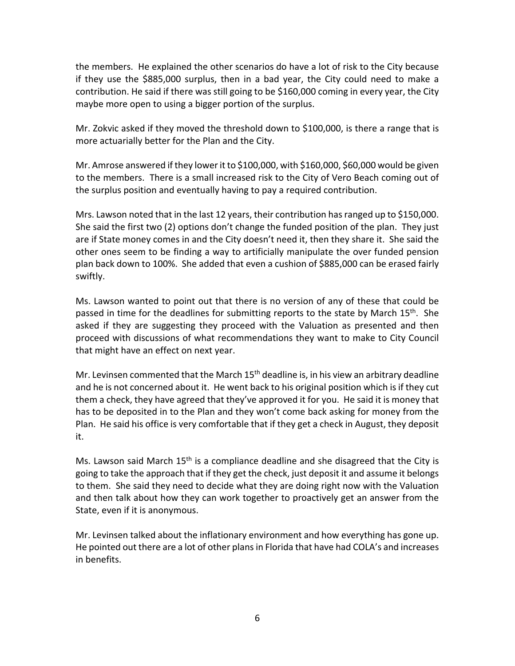the members. He explained the other scenarios do have a lot of risk to the City because if they use the \$885,000 surplus, then in a bad year, the City could need to make a maybe more open to using a bigger portion of the surplus. contribution. He said if there was still going to be \$160,000 coming in every year, the City

more actuarially better for the Plan and the City. Mr. Zokvic asked if they moved the threshold down to \$100,000, is there a range that is

more actuarially better for the Plan and the City.<br>Mr. Amrose answered if they lower it to \$100,000, with \$160,000, \$60,000 would be given the surplus position and eventually having to pay a required contribution. to the members. There is a small increased risk to the City of Vero Beach coming out of

 She said the first two (2) options don't change the funded position of the plan. They just swiftly. Mrs. Lawson noted that in the last 12 years, their contribution has ranged up to \$150,000. are if State money comes in and the City doesn't need it, then they share it. She said the other ones seem to be finding a way to artificially manipulate the over funded pension plan back down to 100%. She added that even a cushion of \$885,000 can be erased fairly

 asked if they are suggesting they proceed with the Valuation as presented and then that might have an effect on next year. Ms. Lawson wanted to point out that there is no version of any of these that could be passed in time for the deadlines for submitting reports to the state by March  $15<sup>th</sup>$ . She proceed with discussions of what recommendations they want to make to City Council

that might have an effect on next year.<br>Mr. Levinsen commented that the March 15<sup>th</sup> deadline is, in his view an arbitrary deadline and he is not concerned about it. He went back to his original position which is if they cut Plan. He said his office is very comfortable that if they get a check in August, they deposit them a check, they have agreed that they've approved it for you. He said it is money that has to be deposited in to the Plan and they won't come back asking for money from the it.

Ms. Lawson said March 15<sup>th</sup> is a compliance deadline and she disagreed that the City is State, even if it is anonymous. going to take the approach that if they get the check, just deposit it and assume it belongs to them. She said they need to decide what they are doing right now with the Valuation and then talk about how they can work together to proactively get an answer from the

in benefits. Mr. Levinsen talked about the inflationary environment and how everything has gone up. He pointed out there are a lot of other plans in Florida that have had COLA's and increases in benefits. 6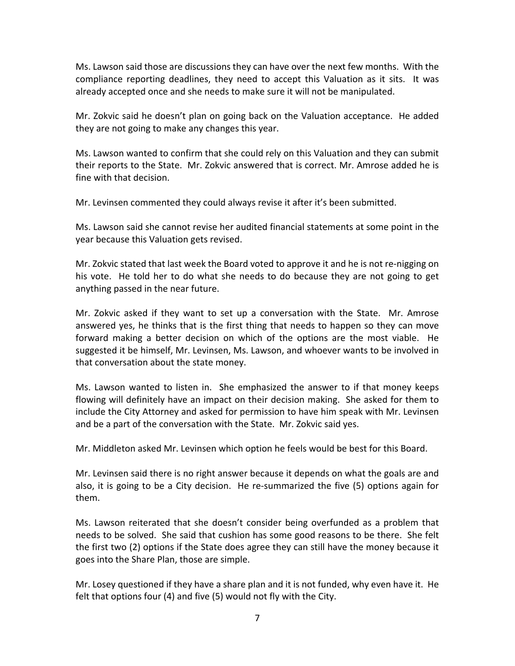compliance reporting deadlines, they need to accept this Valuation as it sits. It was already accepted once and she needs to make sure it will not be manipulated. Ms. Lawson said those are discussions they can have over the next few months. With the

Mr. Zokvic said he doesn't plan on going back on the Valuation acceptance. He added they are not going to make any changes this year.

fine with that decision. Ms. Lawson wanted to confirm that she could rely on this Valuation and they can submit their reports to the State. Mr. Zokvic answered that is correct. Mr. Amrose added he is

Mr. Levinsen commented they could always revise it after it's been submitted.

 year because this Valuation gets revised. Ms. Lawson said she cannot revise her audited financial statements at some point in the

 his vote. He told her to do what she needs to do because they are not going to get anything passed in the near future. Mr. Zokvic stated that last week the Board voted to approve it and he is not re-nigging on

Mr. Zokvic asked if they want to set up a conversation with the State. Mr. Amrose answered yes, he thinks that is the first thing that needs to happen so they can move forward making a better decision on which of the options are the most viable. He suggested it be himself, Mr. Levinsen, Ms. Lawson, and whoever wants to be involved in that conversation about the state money.

 Ms. Lawson wanted to listen in. She emphasized the answer to if that money keeps flowing will definitely have an impact on their decision making. She asked for them to include the City Attorney and asked for permission to have him speak with Mr. Levinsen and be a part of the conversation with the State. Mr. Zokvic said yes.

Mr. Middleton asked Mr. Levinsen which option he feels would be best for this Board.

 Mr. Levinsen said there is no right answer because it depends on what the goals are and also, it is going to be a City decision. He re-summarized the five (5) options again for them.

them.<br>Ms. Lawson reiterated that she doesn't consider being overfunded as a problem that needs to be solved. She said that cushion has some good reasons to be there. She felt the first two (2) options if the State does agree they can still have the money because it goes into the Share Plan, those are simple.

goes into the Share Plan, those are simple.<br>Mr. Losey questioned if they have a share plan and it is not funded, why even have it. He felt that options four (4) and five (5) would not fly with the City.